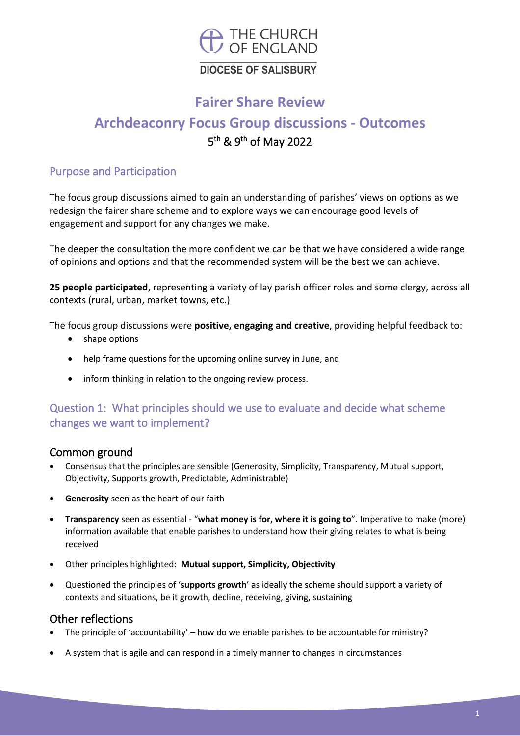

# **DIOCESE OF SALISBURY**

# **Fairer Share Review**

# **Archdeaconry Focus Group discussions - Outcomes** 5<sup>th</sup> & 9<sup>th</sup> of May 2022

#### Purpose and Participation

The focus group discussions aimed to gain an understanding of parishes' views on options as we redesign the fairer share scheme and to explore ways we can encourage good levels of engagement and support for any changes we make.

The deeper the consultation the more confident we can be that we have considered a wide range of opinions and options and that the recommended system will be the best we can achieve.

**25 people participated**, representing a variety of lay parish officer roles and some clergy, across all contexts (rural, urban, market towns, etc.)

The focus group discussions were **positive, engaging and creative**, providing helpful feedback to:

- shape options
- help frame questions for the upcoming online survey in June, and
- inform thinking in relation to the ongoing review process.

# Question 1: What principles should we use to evaluate and decide what scheme changes we want to implement?

#### Common ground

- Consensus that the principles are sensible (Generosity, Simplicity, Transparency, Mutual support, Objectivity, Supports growth, Predictable, Administrable)
- **Generosity** seen as the heart of our faith
- **Transparency** seen as essential "**what money is for, where it is going to**". Imperative to make (more) information available that enable parishes to understand how their giving relates to what is being received
- Other principles highlighted: **Mutual support, Simplicity, Objectivity**
- Questioned the principles of '**supports growth**' as ideally the scheme should support a variety of contexts and situations, be it growth, decline, receiving, giving, sustaining

#### Other reflections

- The principle of 'accountability' how do we enable parishes to be accountable for ministry?
- A system that is agile and can respond in a timely manner to changes in circumstances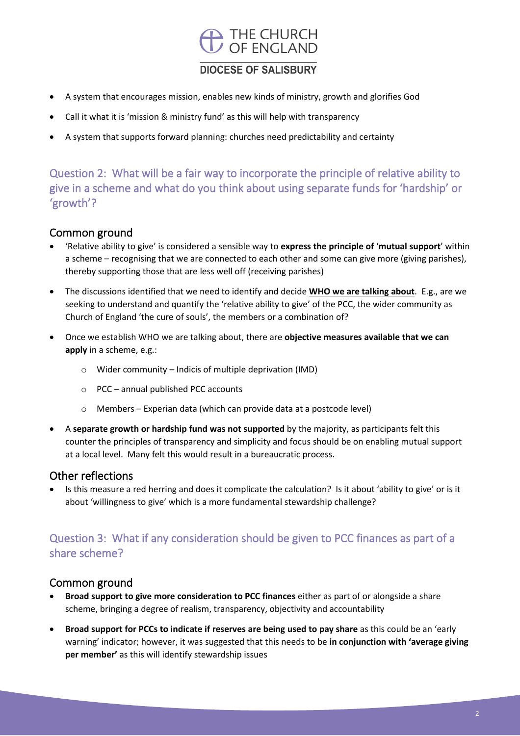

#### **DIOCESE OF SALISBURY**

- A system that encourages mission, enables new kinds of ministry, growth and glorifies God
- Call it what it is 'mission & ministry fund' as this will help with transparency
- A system that supports forward planning: churches need predictability and certainty

Question 2: What will be a fair way to incorporate the principle of relative ability to give in a scheme and what do you think about using separate funds for 'hardship' or 'growth'?

#### Common ground

- 'Relative ability to give' is considered a sensible way to **express the principle of** '**mutual support**' within a scheme – recognising that we are connected to each other and some can give more (giving parishes), thereby supporting those that are less well off (receiving parishes)
- The discussions identified that we need to identify and decide **WHO we are talking about**. E.g., are we seeking to understand and quantify the 'relative ability to give' of the PCC, the wider community as Church of England 'the cure of souls', the members or a combination of?
- Once we establish WHO we are talking about, there are **objective measures available that we can apply** in a scheme, e.g.:
	- o Wider community Indicis of multiple deprivation (IMD)
	- o PCC annual published PCC accounts
	- Members Experian data (which can provide data at a postcode level)
- A **separate growth or hardship fund was not supported** by the majority, as participants felt this counter the principles of transparency and simplicity and focus should be on enabling mutual support at a local level. Many felt this would result in a bureaucratic process.

#### Other reflections

• Is this measure a red herring and does it complicate the calculation? Is it about 'ability to give' or is it about 'willingness to give' which is a more fundamental stewardship challenge?

# Question 3: What if any consideration should be given to PCC finances as part of a share scheme?

#### Common ground

- **Broad support to give more consideration to PCC finances** either as part of or alongside a share scheme, bringing a degree of realism, transparency, objectivity and accountability
- **Broad support for PCCs to indicate if reserves are being used to pay share** as this could be an 'early warning' indicator; however, it was suggested that this needs to be **in conjunction with 'average giving per member'** as this will identify stewardship issues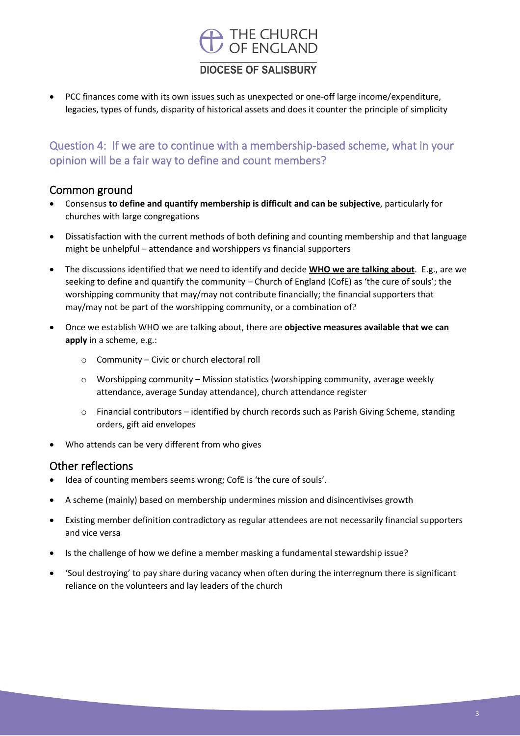# THE CHURCH<br>OF ENGLAND

#### **DIOCESE OF SALISBURY**

• PCC finances come with its own issues such as unexpected or one-off large income/expenditure, legacies, types of funds, disparity of historical assets and does it counter the principle of simplicity

# Question 4: If we are to continue with a membership-based scheme, what in your opinion will be a fair way to define and count members?

#### Common ground

- Consensus **to define and quantify membership is difficult and can be subjective**, particularly for churches with large congregations
- Dissatisfaction with the current methods of both defining and counting membership and that language might be unhelpful – attendance and worshippers vs financial supporters
- The discussions identified that we need to identify and decide **WHO we are talking about**. E.g., are we seeking to define and quantify the community – Church of England (CofE) as 'the cure of souls'; the worshipping community that may/may not contribute financially; the financial supporters that may/may not be part of the worshipping community, or a combination of?
- Once we establish WHO we are talking about, there are **objective measures available that we can apply** in a scheme, e.g.:
	- o Community Civic or church electoral roll
	- $\circ$  Worshipping community Mission statistics (worshipping community, average weekly attendance, average Sunday attendance), church attendance register
	- o Financial contributors identified by church records such as Parish Giving Scheme, standing orders, gift aid envelopes
- Who attends can be very different from who gives

#### Other reflections

- Idea of counting members seems wrong; CofE is 'the cure of souls'.
- A scheme (mainly) based on membership undermines mission and disincentivises growth
- Existing member definition contradictory as regular attendees are not necessarily financial supporters and vice versa
- Is the challenge of how we define a member masking a fundamental stewardship issue?
- 'Soul destroying' to pay share during vacancy when often during the interregnum there is significant reliance on the volunteers and lay leaders of the church